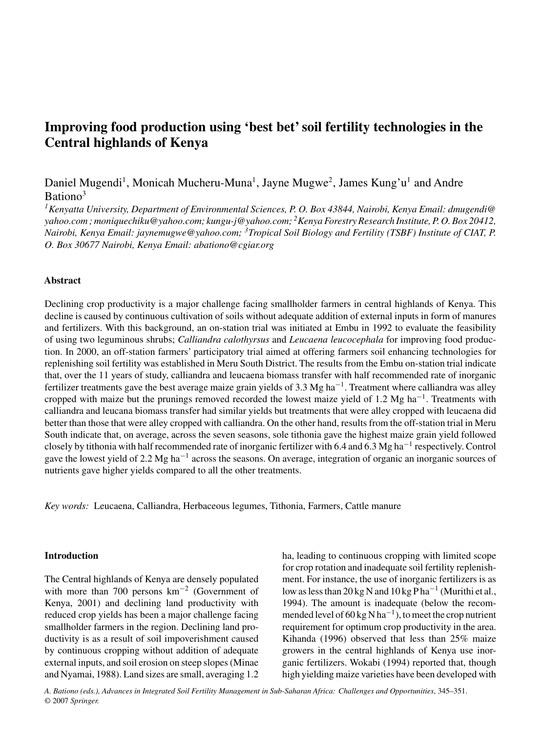# **Improving food production using 'best bet' soil fertility technologies in the Central highlands of Kenya**

Daniel Mugendi<sup>1</sup>, Monicah Mucheru-Muna<sup>1</sup>, Jayne Mugwe<sup>2</sup>, James Kung'u<sup>1</sup> and Andre Bationo3

*1Kenyatta University, Department of Environmental Sciences, P. O. Box 43844, Nairobi, Kenya Email: dmugendi@ yahoo.com ; moniquechiku@yahoo.com; kungu-j@yahoo.com; 2Kenya Forestry Research Institute, P. O. Box 20412, Nairobi, Kenya Email: jaynemugwe@yahoo.com; 3Tropical Soil Biology and Fertility (TSBF) Institute of CIAT, P. O. Box 30677 Nairobi, Kenya Email: abationo@cgiar.org*

## **Abstract**

Declining crop productivity is a major challenge facing smallholder farmers in central highlands of Kenya. This decline is caused by continuous cultivation of soils without adequate addition of external inputs in form of manures and fertilizers. With this background, an on-station trial was initiated at Embu in 1992 to evaluate the feasibility of using two leguminous shrubs; *Calliandra calothyrsus* and *Leucaena leucocephala* for improving food production. In 2000, an off-station farmers' participatory trial aimed at offering farmers soil enhancing technologies for replenishing soil fertility was established in Meru South District. The results from the Embu on-station trial indicate that, over the 11 years of study, calliandra and leucaena biomass transfer with half recommended rate of inorganic fertilizer treatments gave the best average maize grain yields of 3.3 Mg ha<sup> $-1$ </sup>. Treatment where calliandra was alley cropped with maize but the prunings removed recorded the lowest maize yield of 1.2 Mg ha<sup>−</sup>1. Treatments with calliandra and leucana biomass transfer had similar yields but treatments that were alley cropped with leucaena did better than those that were alley cropped with calliandra. On the other hand, results from the off-station trial in Meru South indicate that, on average, across the seven seasons, sole tithonia gave the highest maize grain yield followed closely by tithonia with half recommended rate of inorganic fertilizer with 6.4 and 6.3 Mg ha<sup>−</sup><sup>1</sup> respectively. Control gave the lowest yield of 2.2 Mg ha<sup>−</sup><sup>1</sup> across the seasons. On average, integration of organic an inorganic sources of nutrients gave higher yields compared to all the other treatments.

*Key words:* Leucaena, Calliandra, Herbaceous legumes, Tithonia, Farmers, Cattle manure

# **Introduction**

The Central highlands of Kenya are densely populated with more than 700 persons  $km^{-2}$  (Government of Kenya, 2001) and declining land productivity with reduced crop yields has been a major challenge facing smallholder farmers in the region. Declining land productivity is as a result of soil impoverishment caused by continuous cropping without addition of adequate external inputs, and soil erosion on steep slopes (Minae and Nyamai, 1988). Land sizes are small, averaging 1.2

ha, leading to continuous cropping with limited scope for crop rotation and inadequate soil fertility replenishment. For instance, the use of inorganic fertilizers is as low as less than 20 kg N and  $10$  kg P ha<sup>-1</sup> (Murithi et al., 1994). The amount is inadequate (below the recommended level of 60 kg N ha<sup>−</sup>1), to meet the crop nutrient requirement for optimum crop productivity in the area. Kihanda (1996) observed that less than 25% maize growers in the central highlands of Kenya use inorganic fertilizers. Wokabi (1994) reported that, though high yielding maize varieties have been developed with

*A. Bationo (eds.), Advances in Integrated Soil Fertility Management in Sub-Saharan Africa: Challenges and Opportunities*, 345–351. *©* 2007 *Springer.*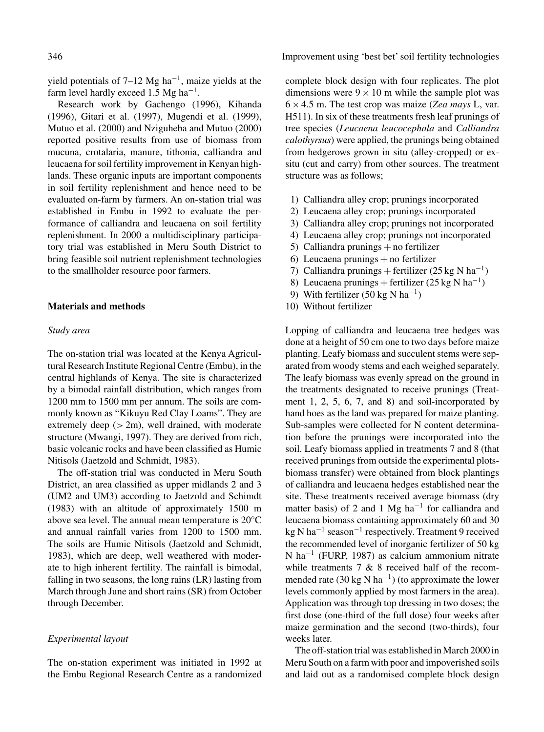yield potentials of  $7-12$  Mg ha<sup> $-1$ </sup>, maize yields at the farm level hardly exceed 1.5 Mg ha<sup>−</sup>1.

Research work by Gachengo (1996), Kihanda (1996), Gitari et al. (1997), Mugendi et al. (1999), Mutuo et al. (2000) and Nziguheba and Mutuo (2000) reported positive results from use of biomass from mucuna, crotalaria, manure, tithonia, calliandra and leucaena for soil fertility improvement in Kenyan highlands. These organic inputs are important components in soil fertility replenishment and hence need to be evaluated on-farm by farmers. An on-station trial was established in Embu in 1992 to evaluate the performance of calliandra and leucaena on soil fertility replenishment. In 2000 a multidisciplinary participatory trial was established in Meru South District to bring feasible soil nutrient replenishment technologies to the smallholder resource poor farmers.

## **Materials and methods**

#### *Study area*

The on-station trial was located at the Kenya Agricultural Research Institute Regional Centre (Embu), in the central highlands of Kenya. The site is characterized by a bimodal rainfall distribution, which ranges from 1200 mm to 1500 mm per annum. The soils are commonly known as "Kikuyu Red Clay Loams". They are extremely deep  $(> 2m)$ , well drained, with moderate structure (Mwangi, 1997). They are derived from rich, basic volcanic rocks and have been classified as Humic Nitisols (Jaetzold and Schmidt, 1983).

The off-station trial was conducted in Meru South District, an area classified as upper midlands 2 and 3 (UM2 and UM3) according to Jaetzold and Schimdt (1983) with an altitude of approximately 1500 m above sea level. The annual mean temperature is 20°C and annual rainfall varies from 1200 to 1500 mm. The soils are Humic Nitisols (Jaetzold and Schmidt, 1983), which are deep, well weathered with moderate to high inherent fertility. The rainfall is bimodal, falling in two seasons, the long rains (LR) lasting from March through June and short rains (SR) from October through December.

## *Experimental layout*

The on-station experiment was initiated in 1992 at the Embu Regional Research Centre as a randomized complete block design with four replicates. The plot dimensions were  $9 \times 10$  m while the sample plot was 6 × 4.5 m. The test crop was maize (*Zea mays* L, var. H511). In six of these treatments fresh leaf prunings of tree species (*Leucaena leucocephala* and *Calliandra calothyrsus*) were applied, the prunings being obtained from hedgerows grown in situ (alley-cropped) or exsitu (cut and carry) from other sources. The treatment structure was as follows;

- 1) Calliandra alley crop; prunings incorporated
- 2) Leucaena alley crop; prunings incorporated
- 3) Calliandra alley crop; prunings not incorporated
- 4) Leucaena alley crop; prunings not incorporated
- 5) Calliandra prunings + no fertilizer
- 6) Leucaena prunings  $+$  no fertilizer
- 7) Calliandra prunings + fertilizer (25 kg N ha<sup>-1</sup>)
- 8) Leucaena prunings + fertilizer (25 kg N ha<sup>-1</sup>)
- 9) With fertilizer (50 kg N ha<sup>-1</sup>)
- 10) Without fertilizer

Lopping of calliandra and leucaena tree hedges was done at a height of 50 cm one to two days before maize planting. Leafy biomass and succulent stems were separated from woody stems and each weighed separately. The leafy biomass was evenly spread on the ground in the treatments designated to receive prunings (Treatment 1, 2, 5, 6, 7, and 8) and soil-incorporated by hand hoes as the land was prepared for maize planting. Sub-samples were collected for N content determination before the prunings were incorporated into the soil. Leafy biomass applied in treatments 7 and 8 (that received prunings from outside the experimental plotsbiomass transfer) were obtained from block plantings of calliandra and leucaena hedges established near the site. These treatments received average biomass (dry matter basis) of 2 and 1 Mg ha<sup> $-1$ </sup> for calliandra and leucaena biomass containing approximately 60 and 30 kg N ha<sup>−</sup><sup>1</sup> season<sup>−</sup><sup>1</sup> respectively. Treatment 9 received the recommended level of inorganic fertilizer of 50 kg N ha<sup>−</sup><sup>1</sup> (FURP, 1987) as calcium ammonium nitrate while treatments  $7 & 8$  received half of the recommended rate (30 kg N ha<sup>-1</sup>) (to approximate the lower levels commonly applied by most farmers in the area). Application was through top dressing in two doses; the first dose (one-third of the full dose) four weeks after maize germination and the second (two-thirds), four weeks later.

The off-station trial was established in March 2000 in Meru South on a farm with poor and impoverished soils and laid out as a randomised complete block design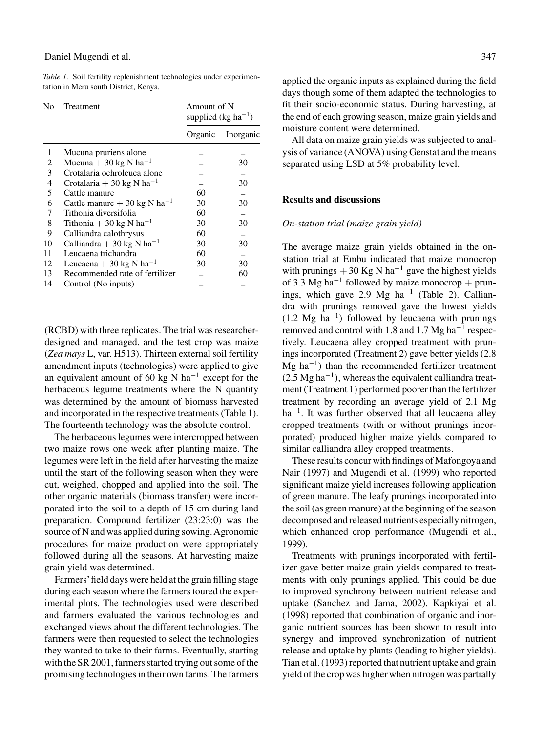#### Daniel Mugendi et al. 347

*Table 1.* Soil fertility replenishment technologies under experimentation in Meru south District, Kenya.

| No | Treatment                                 | Amount of N<br>supplied ( $kg \text{ ha}^{-1}$ ) |           |  |  |  |
|----|-------------------------------------------|--------------------------------------------------|-----------|--|--|--|
|    |                                           | Organic                                          | Inorganic |  |  |  |
| 1  | Mucuna pruriens alone                     |                                                  |           |  |  |  |
| 2  | Mucuna + 30 kg N ha <sup>-1</sup>         |                                                  | 30        |  |  |  |
| 3  | Crotalaria ochroleuca alone               |                                                  |           |  |  |  |
| 4  | Crotalaria + 30 kg N ha <sup>-1</sup>     |                                                  | 30        |  |  |  |
| 5  | Cattle manure                             | 60                                               |           |  |  |  |
| 6  | Cattle manure $+30$ kg N ha <sup>-1</sup> | 30                                               | 30        |  |  |  |
| 7  | Tithonia diversifolia                     | 60                                               |           |  |  |  |
| 8  | Tithonia + 30 kg N ha <sup>-1</sup>       | 30                                               | 30        |  |  |  |
| 9  | Calliandra calothrysus                    | 60                                               |           |  |  |  |
| 10 | Calliandra + 30 kg N ha <sup>-1</sup>     | 30                                               | 30        |  |  |  |
| 11 | Leucaena trichandra                       | 60                                               |           |  |  |  |
| 12 | Leucaena + 30 kg N ha <sup>-1</sup>       | 30                                               | 30        |  |  |  |
| 13 | Recommended rate of fertilizer            |                                                  | 60        |  |  |  |
| 14 | Control (No inputs)                       |                                                  |           |  |  |  |

(RCBD) with three replicates. The trial was researcherdesigned and managed, and the test crop was maize (*Zea mays* L, var. H513). Thirteen external soil fertility amendment inputs (technologies) were applied to give an equivalent amount of 60 kg N ha<sup> $-1$ </sup> except for the herbaceous legume treatments where the N quantity was determined by the amount of biomass harvested and incorporated in the respective treatments (Table 1). The fourteenth technology was the absolute control.

The herbaceous legumes were intercropped between two maize rows one week after planting maize. The legumes were left in the field after harvesting the maize until the start of the following season when they were cut, weighed, chopped and applied into the soil. The other organic materials (biomass transfer) were incorporated into the soil to a depth of 15 cm during land preparation. Compound fertilizer (23:23:0) was the source of N and was applied during sowing.Agronomic procedures for maize production were appropriately followed during all the seasons. At harvesting maize grain yield was determined.

Farmers'field days were held at the grain filling stage during each season where the farmers toured the experimental plots. The technologies used were described and farmers evaluated the various technologies and exchanged views about the different technologies. The farmers were then requested to select the technologies they wanted to take to their farms. Eventually, starting with the SR 2001, farmers started trying out some of the promising technologies in their own farms. The farmers applied the organic inputs as explained during the field days though some of them adapted the technologies to fit their socio-economic status. During harvesting, at the end of each growing season, maize grain yields and moisture content were determined.

All data on maize grain yields was subjected to analysis of variance (ANOVA) using Genstat and the means separated using LSD at 5% probability level.

## **Results and discussions**

## *On-station trial (maize grain yield)*

The average maize grain yields obtained in the onstation trial at Embu indicated that maize monocrop with prunings  $+30$  Kg N ha<sup>-1</sup> gave the highest yields of 3.3 Mg ha<sup>-1</sup> followed by maize monocrop + prunings, which gave 2.9 Mg ha<sup>-1</sup> (Table 2). Calliandra with prunings removed gave the lowest yields (1.2 Mg ha<sup>−</sup>1) followed by leucaena with prunings removed and control with 1.8 and 1.7 Mg ha<sup>−</sup><sup>1</sup> respectively. Leucaena alley cropped treatment with prunings incorporated (Treatment 2) gave better yields (2.8 Mg ha<sup> $-1$ </sup>) than the recommended fertilizer treatment  $(2.5 \text{ Mg ha}^{-1})$ , whereas the equivalent calliandra treatment (Treatment 1) performed poorer than the fertilizer treatment by recording an average yield of 2.1 Mg ha<sup>-1</sup>. It was further observed that all leucaena alley cropped treatments (with or without prunings incorporated) produced higher maize yields compared to similar calliandra alley cropped treatments.

These results concur with findings of Mafongoya and Nair (1997) and Mugendi et al. (1999) who reported significant maize yield increases following application of green manure. The leafy prunings incorporated into the soil (as green manure) at the beginning of the season decomposed and released nutrients especially nitrogen, which enhanced crop performance (Mugendi et al., 1999).

Treatments with prunings incorporated with fertilizer gave better maize grain yields compared to treatments with only prunings applied. This could be due to improved synchrony between nutrient release and uptake (Sanchez and Jama, 2002). Kapkiyai et al. (1998) reported that combination of organic and inorganic nutrient sources has been shown to result into synergy and improved synchronization of nutrient release and uptake by plants (leading to higher yields). Tian et al. (1993) reported that nutrient uptake and grain yield of the crop was higher when nitrogen was partially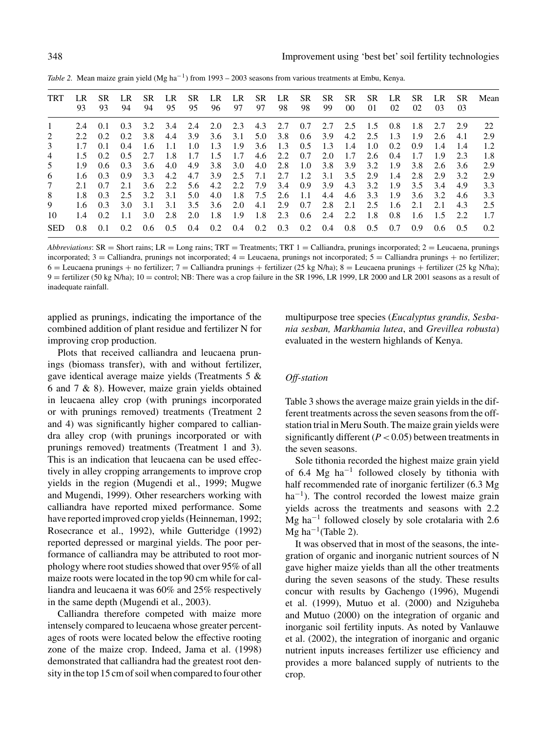| TRT        | LR<br>93      | SR.<br>93 | 94            | SR.<br>94 | LR<br>95 | SR.<br>95     | LR<br>96 | LR<br>97 | SR.<br>97 | LR.<br>98 | SR<br>98 | SR<br>99 | SR.<br>$00\,$ | SR.<br>01 | LR<br>02 | SR<br>02 | 03            | SR.<br>03 | Mean             |
|------------|---------------|-----------|---------------|-----------|----------|---------------|----------|----------|-----------|-----------|----------|----------|---------------|-----------|----------|----------|---------------|-----------|------------------|
|            | 2.4           | 0.1       | 0.3           | 3.2       | 3.4      | 2.4           | 2.0      | 2.3      | 4.3       | 2.7       | 0.7      | 2.7      | 2.5           | -1.5      | 0.8      | 1.8      | 2.7           | 2.9       | 22               |
| 2          | 2.2           | 0.2       | $0.2^{\circ}$ | 3.8       | 4.4      | 3.9           | 3.6      | 3.1      | 5.0       | 3.8       | 0.6      | 3.9      | 4.2           | 2.5       | 1.3      | 1.9      | 2.6           | 4.1       | 2.9              |
| 3          | 1.7           | 0.1       | 0.4           | 1.6       | 1.1      | 1.0           | 1.3      | 1.9      | 3.6       | 1.3       | 0.5      | 1.3      | 1.4           | 1.0       | 0.2      | 0.9      | 1.4           | 1.4       | 1.2              |
| 4          | 1.5           | 0.2       | 0.5           | 2.7       | 1.8      | 1.7           | 1.5      | 1.7      | 4.6       | 2.2       | 0.7      | 2.0      | 1.7           | 2.6       | 0.4      | 1.7      | 1.9           | 2.3       | 1.8              |
| 5          | 1.9           | 0.6       | 0.3           | 3.6       | 4.0      | 4.9           | 3.8      | 3.0      | 4.0       | 2.8       | 1.0      | 3.8      | 3.9           | 3.2       | 1.9      | 3.8      | 2.6           | 3.6       | 2.9              |
| 6          | 1.6           | 0.3       | 0.9           | 3.3       | 4.2      | 4.7           | 3.9      | 2.5      | 7.1       | 2.7       | 1.2      | 3.1      | 3.5           | 2.9       | 1.4      | 2.8      | 2.9           | 3.2       | 2.9              |
| 7          | 2.1           | 0.7       | 2.1           | 3.6       | 2.2      | 5.6           | 4.2      | 2.2      | 7.9       | 3.4       | 0.9      | 3.9      | 4.3           | 3.2       | 1.9      | 3.5      | 3.4           | 4.9       | 3.3              |
| 8          | 1.8           | 0.3       | 2.5           | 3.2       | 3.1      | 5.0           | 4.0      | 1.8      | 7.5       | 2.6       | - 1.1    | 4.4      | 4.6           | 3.3       | 1.9      | 3.6      | 3.2           | 4.6       | 3.3              |
| 9          | $1.6^{\circ}$ | 0.3       | 3.0           | 3.1       | 3.1      | $3.5^{\circ}$ | 3.6      | 2.0      | 4.1       | 2.9       | 0.7      | 2.8      | 2.1           | 2.5       | 1.6      | 2.1      | 2.1           | 4.3       | 2.5              |
| 10         | $1.4^{\circ}$ | 0.2       | 1.1           | 3.0       | 2.8      | 2.0           | 1.8      | 1.9      | 1.8       | 2.3       | 0.6      | 2.4      | 2.2           | 1.8       | 0.8      | -1.6     | -1.5          | 2.2       | 1.7              |
| <b>SED</b> | 0.8           | 0.1       | $0.2^{\circ}$ | 0.6       | 0.5      | 0.4           | 0.2      | 0.4      | 0.2       | 0.3       | 0.2      | 0.4      | 0.8           | 0.5       | 0.7      | 0.9      | $0.6^{\circ}$ | 0.5       | 0.2 <sub>z</sub> |

*Table 2.* Mean maize grain yield (Mg ha<sup>−1</sup>) from 1993 – 2003 seasons from various treatments at Embu, Kenya.

*Abbreviations*: SR = Short rains; LR = Long rains; TRT = Treatments; TRT 1 = Calliandra, prunings incorporated; 2 = Leucaena, prunings incorporated;  $3 =$  Calliandra, prunings not incorporated;  $4 =$  Leucaena, prunings not incorporated;  $5 =$  Calliandra prunings + no fertilizer;  $6 =$  Leucaena prunings + no fertilizer; 7 = Calliandra prunings + fertilizer (25 kg N/ha); 8 = Leucaena prunings + fertilizer (25 kg N/ha); 9 = fertilizer (50 kg N/ha); 10 = control; NB: There was a crop failure in the SR 1996, LR 1999, LR 2000 and LR 2001 seasons as a result of inadequate rainfall.

applied as prunings, indicating the importance of the combined addition of plant residue and fertilizer N for improving crop production.

Plots that received calliandra and leucaena prunings (biomass transfer), with and without fertilizer, gave identical average maize yields (Treatments 5 & 6 and 7 & 8). However, maize grain yields obtained in leucaena alley crop (with prunings incorporated or with prunings removed) treatments (Treatment 2 and 4) was significantly higher compared to calliandra alley crop (with prunings incorporated or with prunings removed) treatments (Treatment 1 and 3). This is an indication that leucaena can be used effectively in alley cropping arrangements to improve crop yields in the region (Mugendi et al., 1999; Mugwe and Mugendi, 1999). Other researchers working with calliandra have reported mixed performance. Some have reported improved crop yields (Heinneman, 1992; Rosecrance et al., 1992), while Gutteridge (1992) reported depressed or marginal yields. The poor performance of calliandra may be attributed to root morphology where root studies showed that over 95% of all maize roots were located in the top 90 cm while for calliandra and leucaena it was 60% and 25% respectively in the same depth (Mugendi et al., 2003).

Calliandra therefore competed with maize more intensely compared to leucaena whose greater percentages of roots were located below the effective rooting zone of the maize crop. Indeed, Jama et al. (1998) demonstrated that calliandra had the greatest root density in the top 15 cm of soil when compared to four other multipurpose tree species (*Eucalyptus grandis, Sesbania sesban, Markhamia lutea*, and *Grevillea robusta*) evaluated in the western highlands of Kenya.

### *Off-station*

Table 3 shows the average maize grain yields in the different treatments across the seven seasons from the offstation trial in Meru South. The maize grain yields were significantly different  $(P < 0.05)$  between treatments in the seven seasons.

Sole tithonia recorded the highest maize grain yield of 6.4 Mg ha<sup>−</sup><sup>1</sup> followed closely by tithonia with half recommended rate of inorganic fertilizer (6.3 Mg  $ha^{-1}$ ). The control recorded the lowest maize grain yields across the treatments and seasons with 2.2 Mg ha<sup>−</sup><sup>1</sup> followed closely by sole crotalaria with 2.6 Mg ha<sup> $-1$ </sup>(Table 2).

It was observed that in most of the seasons, the integration of organic and inorganic nutrient sources of N gave higher maize yields than all the other treatments during the seven seasons of the study. These results concur with results by Gachengo (1996), Mugendi et al. (1999), Mutuo et al. (2000) and Nziguheba and Mutuo (2000) on the integration of organic and inorganic soil fertility inputs. As noted by Vanlauwe et al. (2002), the integration of inorganic and organic nutrient inputs increases fertilizer use efficiency and provides a more balanced supply of nutrients to the crop.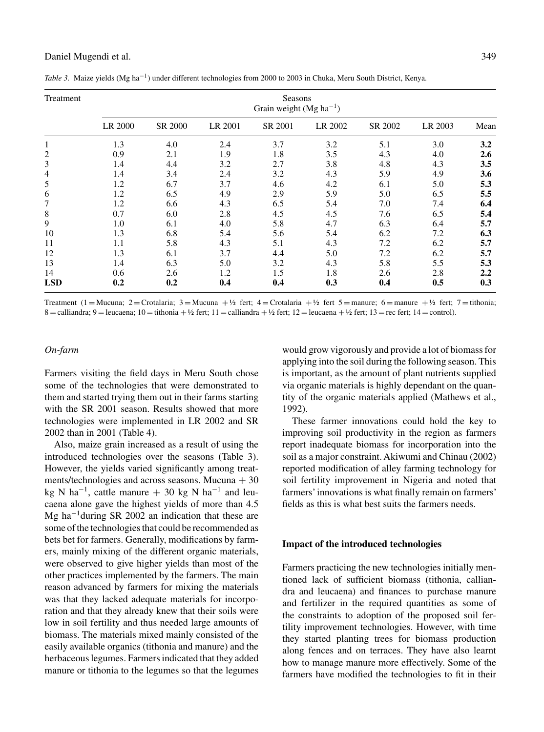### Daniel Mugendi et al. 349

*Table 3.* Maize yields (Mg ha<sup>−</sup>1) under different technologies from 2000 to 2003 in Chuka, Meru South District, Kenya.

| Treatment  | Seasons<br>Grain weight (Mg ha <sup>-1</sup> ) |         |         |         |         |         |         |                  |  |  |
|------------|------------------------------------------------|---------|---------|---------|---------|---------|---------|------------------|--|--|
|            | LR 2000                                        | SR 2000 | LR 2001 | SR 2001 | LR 2002 | SR 2002 | LR 2003 | Mean             |  |  |
| 1          | 1.3                                            | 4.0     | 2.4     | 3.7     | 3.2     | 5.1     | 3.0     | 3.2              |  |  |
| 2          | 0.9                                            | 2.1     | 1.9     | 1.8     | 3.5     | 4.3     | 4.0     | 2.6              |  |  |
| 3          | 1.4                                            | 4.4     | 3.2     | 2.7     | 3.8     | 4.8     | 4.3     | 3.5              |  |  |
| 4          | 1.4                                            | 3.4     | 2.4     | 3.2     | 4.3     | 5.9     | 4.9     | 3.6              |  |  |
| 5          | 1.2                                            | 6.7     | 3.7     | 4.6     | 4.2     | 6.1     | 5.0     | 5.3              |  |  |
| 6          | 1.2                                            | 6.5     | 4.9     | 2.9     | 5.9     | 5.0     | 6.5     | 5.5              |  |  |
| 7          | 1.2                                            | 6.6     | 4.3     | 6.5     | 5.4     | 7.0     | 7.4     | 6.4              |  |  |
| 8          | 0.7                                            | 6.0     | 2.8     | 4.5     | 4.5     | 7.6     | 6.5     | 5.4              |  |  |
| 9          | 1.0                                            | 6.1     | 4.0     | 5.8     | 4.7     | 6.3     | 6.4     | 5.7              |  |  |
| 10         | 1.3                                            | 6.8     | 5.4     | 5.6     | 5.4     | 6.2     | 7.2     | 6.3              |  |  |
| 11         | 1.1                                            | 5.8     | 4.3     | 5.1     | 4.3     | 7.2     | 6.2     | 5.7              |  |  |
| 12         | 1.3                                            | 6.1     | 3.7     | 4.4     | 5.0     | 7.2     | 6.2     | 5.7              |  |  |
| 13         | 1.4                                            | 6.3     | 5.0     | 3.2     | 4.3     | 5.8     | 5.5     | 5.3              |  |  |
| 14         | 0.6                                            | 2.6     | 1.2     | 1.5     | 1.8     | 2.6     | 2.8     | $2.2\phantom{0}$ |  |  |
| <b>LSD</b> | 0.2                                            | 0.2     | 0.4     | 0.4     | 0.3     | 0.4     | 0.5     | 0.3              |  |  |

Treatment (1 = Mucuna; 2 = Crotalaria; 3 = Mucuna + 1/2 fert; 4 = Crotalaria + 1/2 fert 5 = manure; 6 = manure + 1/2 fert; 7 = tithonia;  $8 =$ calliandra;  $9 =$ leucaena;  $10 =$ tithonia + ½ fert;  $11 =$ calliandra + ½ fert;  $12 =$ leucaena + ½ fert;  $13 =$ rec fert;  $14 =$ control).

## *On-farm*

Farmers visiting the field days in Meru South chose some of the technologies that were demonstrated to them and started trying them out in their farms starting with the SR 2001 season. Results showed that more technologies were implemented in LR 2002 and SR 2002 than in 2001 (Table 4).

Also, maize grain increased as a result of using the introduced technologies over the seasons (Table 3). However, the yields varied significantly among treatments/technologies and across seasons. Mucuna  $+30$ kg N ha<sup>-1</sup>, cattle manure + 30 kg N ha<sup>-1</sup> and leucaena alone gave the highest yields of more than 4.5 Mg ha<sup>−</sup>1during SR 2002 an indication that these are some of the technologies that could be recommended as bets bet for farmers. Generally, modifications by farmers, mainly mixing of the different organic materials, were observed to give higher yields than most of the other practices implemented by the farmers. The main reason advanced by farmers for mixing the materials was that they lacked adequate materials for incorporation and that they already knew that their soils were low in soil fertility and thus needed large amounts of biomass. The materials mixed mainly consisted of the easily available organics (tithonia and manure) and the herbaceous legumes. Farmers indicated that they added manure or tithonia to the legumes so that the legumes would grow vigorously and provide a lot of biomass for applying into the soil during the following season. This is important, as the amount of plant nutrients supplied via organic materials is highly dependant on the quantity of the organic materials applied (Mathews et al., 1992).

These farmer innovations could hold the key to improving soil productivity in the region as farmers report inadequate biomass for incorporation into the soil as a major constraint. Akiwumi and Chinau (2002) reported modification of alley farming technology for soil fertility improvement in Nigeria and noted that farmers'innovations is what finally remain on farmers' fields as this is what best suits the farmers needs.

#### **Impact of the introduced technologies**

Farmers practicing the new technologies initially mentioned lack of sufficient biomass (tithonia, calliandra and leucaena) and finances to purchase manure and fertilizer in the required quantities as some of the constraints to adoption of the proposed soil fertility improvement technologies. However, with time they started planting trees for biomass production along fences and on terraces. They have also learnt how to manage manure more effectively. Some of the farmers have modified the technologies to fit in their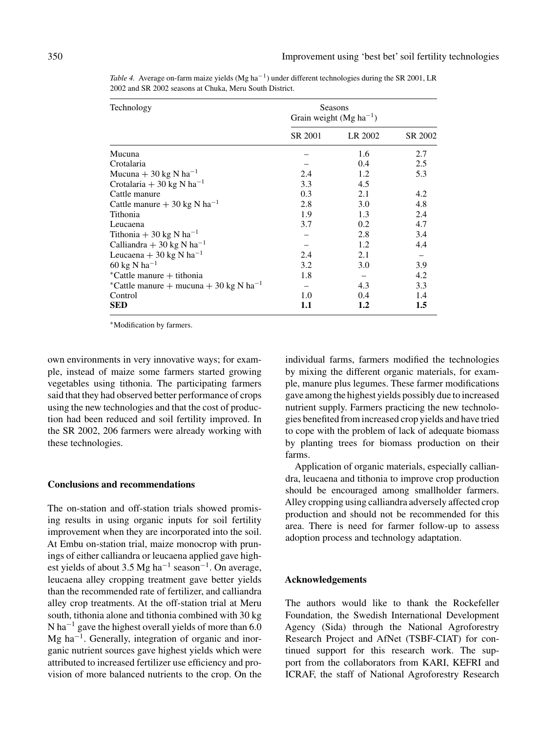| Technology                                         | Seasons<br>Grain weight (Mg ha <sup>-1</sup> ) |         |         |  |
|----------------------------------------------------|------------------------------------------------|---------|---------|--|
|                                                    | SR 2001                                        | LR 2002 | SR 2002 |  |
| Mucuna                                             |                                                | 1.6     | 2.7     |  |
| Crotalaria                                         |                                                | 0.4     | 2.5     |  |
| Mucuna + 30 kg N ha <sup>-1</sup>                  | 2.4                                            | 1.2     | 5.3     |  |
| Crotalaria + 30 kg N ha <sup>-1</sup>              | 3.3                                            | 4.5     |         |  |
| Cattle manure                                      | 0.3                                            | 2.1     | 4.2     |  |
| Cattle manure $+30$ kg N ha <sup>-1</sup>          | 2.8                                            | 3.0     | 4.8     |  |
| Tithonia                                           | 1.9                                            | 1.3     | 2.4     |  |
| Leucaena                                           | 3.7                                            | 0.2     | 4.7     |  |
| Tithonia + 30 kg N ha <sup>-1</sup>                |                                                | 2.8     | 3.4     |  |
| Calliandra + 30 kg N ha <sup>-1</sup>              |                                                | 1.2     | 4.4     |  |
| Leucaena + 30 kg N ha <sup>-1</sup>                | 2.4                                            | 2.1     |         |  |
| $60 \text{ kg N} \text{ ha}^{-1}$                  | 3.2                                            | 3.0     | 3.9     |  |
| *Cattle manure + tithonia                          | 1.8                                            |         | 4.2     |  |
| *Cattle manure + mucuna + 30 kg N ha <sup>-1</sup> |                                                | 4.3     | 3.3     |  |
| Control                                            | 1.0                                            | 0.4     | 1.4     |  |
| <b>SED</b>                                         | 1.1                                            | $1.2\,$ | $1.5\,$ |  |

*Table 4.* Average on-farm maize yields (Mg ha<sup>−1</sup>) under different technologies during the SR 2001, LR 2002 and SR 2002 seasons at Chuka, Meru South District.

<sup>∗</sup>Modification by farmers.

own environments in very innovative ways; for example, instead of maize some farmers started growing vegetables using tithonia. The participating farmers said that they had observed better performance of crops using the new technologies and that the cost of production had been reduced and soil fertility improved. In the SR 2002, 206 farmers were already working with these technologies.

#### **Conclusions and recommendations**

The on-station and off-station trials showed promising results in using organic inputs for soil fertility improvement when they are incorporated into the soil. At Embu on-station trial, maize monocrop with prunings of either calliandra or leucaena applied gave highest yields of about 3.5 Mg ha<sup>-1</sup> season<sup>-1</sup>. On average, leucaena alley cropping treatment gave better yields than the recommended rate of fertilizer, and calliandra alley crop treatments. At the off-station trial at Meru south, tithonia alone and tithonia combined with 30 kg N ha<sup> $-1$ </sup> gave the highest overall yields of more than 6.0 Mg ha<sup>-1</sup>. Generally, integration of organic and inorganic nutrient sources gave highest yields which were attributed to increased fertilizer use efficiency and provision of more balanced nutrients to the crop. On the individual farms, farmers modified the technologies by mixing the different organic materials, for example, manure plus legumes. These farmer modifications gave among the highest yields possibly due to increased nutrient supply. Farmers practicing the new technologies benefited from increased crop yields and have tried to cope with the problem of lack of adequate biomass by planting trees for biomass production on their farms.

Application of organic materials, especially calliandra, leucaena and tithonia to improve crop production should be encouraged among smallholder farmers. Alley cropping using calliandra adversely affected crop production and should not be recommended for this area. There is need for farmer follow-up to assess adoption process and technology adaptation.

## **Acknowledgements**

The authors would like to thank the Rockefeller Foundation, the Swedish International Development Agency (Sida) through the National Agroforestry Research Project and AfNet (TSBF-CIAT) for continued support for this research work. The support from the collaborators from KARI, KEFRI and ICRAF, the staff of National Agroforestry Research